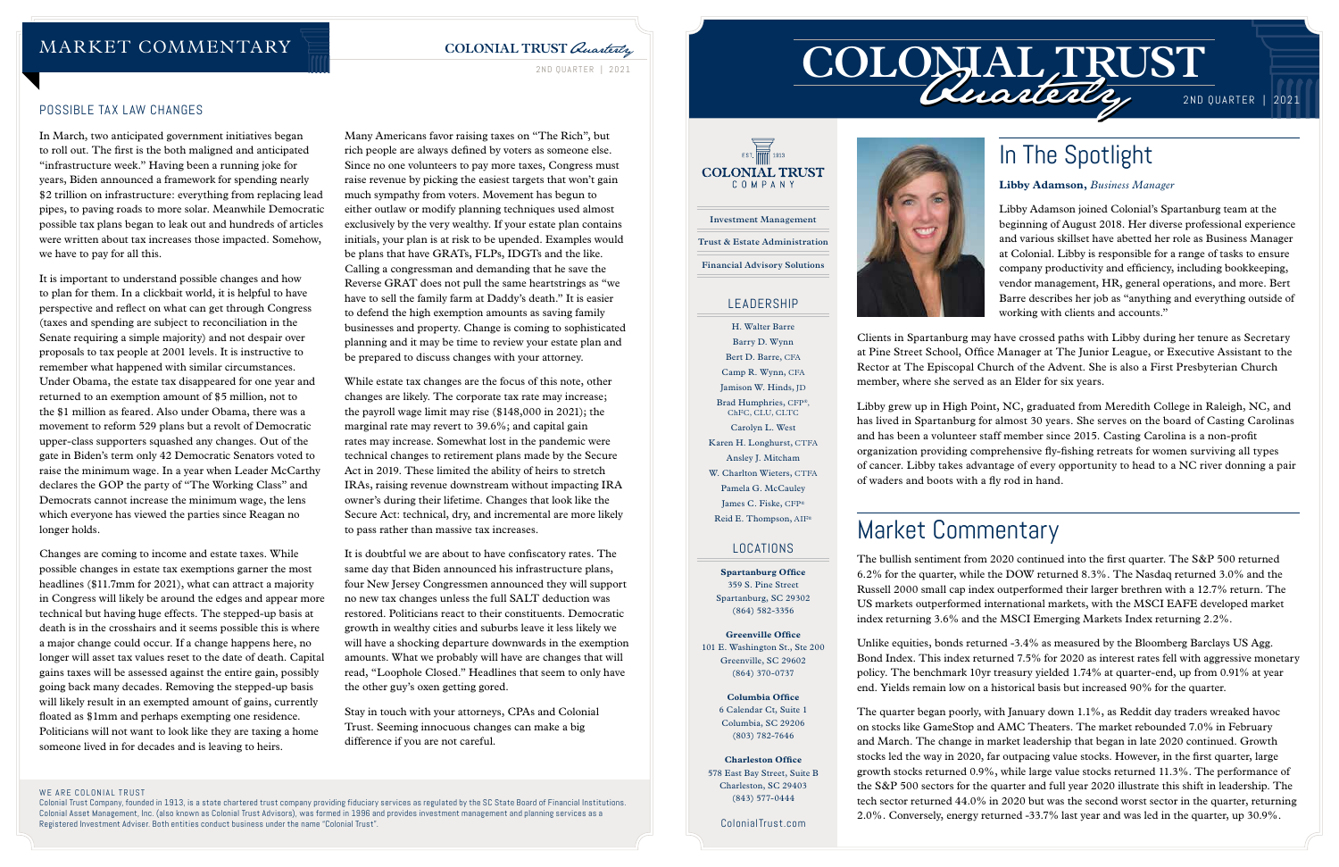

# In The Spotlight

**Libby Adamson,** *Business Manager*

Libby Adamson joined Colonial's Spartanburg team at the beginning of August 2018. Her diverse professional experience and various skillset have abetted her role as Business Manager at Colonial. Libby is responsible for a range of tasks to ensure company productivity and efficiency, including bookkeeping, vendor management, HR, general operations, and more. Bert Barre describes her job as "anything and everything outside of working with clients and accounts."

Clients in Spartanburg may have crossed paths with Libby during her tenure as Secretary at Pine Street School, Office Manager at The Junior League, or Executive Assistant to the Rector at The Episcopal Church of the Advent. She is also a First Presbyterian Church member, where she served as an Elder for six years.

Libby grew up in High Point, NC, graduated from Meredith College in Raleigh, NC, and has lived in Spartanburg for almost 30 years. She serves on the board of Casting Carolinas and has been a volunteer staff member since 2015. Casting Carolina is a non-profit organization providing comprehensive fly-fishing retreats for women surviving all types of cancer. Libby takes advantage of every opportunity to head to a NC river donning a pair of waders and boots with a fly rod in hand.

## **COLONIAL TRUST** Quarterly

2ND QUARTER | 2021

### WE ARE COLONIAL TRUST

Colonial Trust Company, founded in 1913, is a state chartered trust company providing fiduciary services as regulated by the SC State Board of Financial Institutions. Colonial Asset Management, Inc. (also known as Colonial Trust Advisors), was formed in 1996 and provides investment management and planning services as a Registered Investment Adviser. Both entities conduct business under the name "Colonial Trust".

2ND QUARTER | 2021

# Market Commentary

The bullish sentiment from 2020 continued into the first quarter. The S&P 500 returned 6.2% for the quarter, while the DOW returned 8.3%. The Nasdaq returned 3.0% and the Russell 2000 small cap index outperformed their larger brethren with a 12.7% return. The US markets outperformed international markets, with the MSCI EAFE developed market index returning 3.6% and the MSCI Emerging Markets Index returning 2.2%.

Unlike equities, bonds returned -3.4% as measured by the Bloomberg Barclays US Agg. Bond Index. This index returned 7.5% for 2020 as interest rates fell with aggressive monetary policy. The benchmark 10yr treasury yielded 1.74% at quarter-end, up from 0.91% at year end. Yields remain low on a historical basis but increased 90% for the quarter.

The quarter began poorly, with January down 1.1%, as Reddit day traders wreaked havoc on stocks like GameStop and AMC Theaters. The market rebounded 7.0% in February and March. The change in market leadership that began in late 2020 continued. Growth stocks led the way in 2020, far outpacing value stocks. However, in the first quarter, large growth stocks returned 0.9%, while large value stocks returned 11.3%. The performance of the S&P 500 sectors for the quarter and full year 2020 illustrate this shift in leadership. The tech sector returned 44.0% in 2020 but was the second worst sector in the quarter, returning 2.0%. Conversely, energy returned -33.7% last year and was led in the quarter, up 30.9%.

### POSSIBLE TAX LAW CHANGES

In March, two anticipated government initiatives began to roll out. The first is the both maligned and anticipated "infrastructure week." Having been a running joke for years, Biden announced a framework for spending nearly \$2 trillion on infrastructure: everything from replacing lead pipes, to paving roads to more solar. Meanwhile Democratic possible tax plans began to leak out and hundreds of articles were written about tax increases those impacted. Somehow, we have to pay for all this.

## $\overrightarrow{2}$  EST  $\overrightarrow{1}$  1913 **COLONIAL TRUST** COMPANY **Investment Management Trust & Estate Administration Financial Advisory Solutions**

It is important to understand possible changes and how to plan for them. In a clickbait world, it is helpful to have perspective and reflect on what can get through Congress (taxes and spending are subject to reconciliation in the Senate requiring a simple majority) and not despair over proposals to tax people at 2001 levels. It is instructive to remember what happened with similar circumstances. Under Obama, the estate tax disappeared for one year and returned to an exemption amount of \$5 million, not to the \$1 million as feared. Also under Obama, there was a movement to reform 529 plans but a revolt of Democratic upper-class supporters squashed any changes. Out of the gate in Biden's term only 42 Democratic Senators voted to raise the minimum wage. In a year when Leader McCarthy declares the GOP the party of "The Working Class" and Democrats cannot increase the minimum wage, the lens which everyone has viewed the parties since Reagan no longer holds.

Changes are coming to income and estate taxes. While possible changes in estate tax exemptions garner the most headlines (\$11.7mm for 2021), what can attract a majority in Congress will likely be around the edges and appear more technical but having huge effects. The stepped-up basis at death is in the crosshairs and it seems possible this is where a major change could occur. If a change happens here, no longer will asset tax values reset to the date of death. Capital gains taxes will be assessed against the entire gain, possibly going back many decades. Removing the stepped-up basis will likely result in an exempted amount of gains, currently floated as \$1mm and perhaps exempting one residence. Politicians will not want to look like they are taxing a home someone lived in for decades and is leaving to heirs.

Many Americans favor raising taxes on "The Rich", but rich people are always defined by voters as someone else. Since no one volunteers to pay more taxes, Congress must raise revenue by picking the easiest targets that won't gain much sympathy from voters. Movement has begun to either outlaw or modify planning techniques used almost exclusively by the very wealthy. If your estate plan contains initials, your plan is at risk to be upended. Examples would be plans that have GRATs, FLPs, IDGTs and the like. Calling a congressman and demanding that he save the Reverse GRAT does not pull the same heartstrings as "we have to sell the family farm at Daddy's death." It is easier to defend the high exemption amounts as saving family businesses and property. Change is coming to sophisticated planning and it may be time to review your estate plan and be prepared to discuss changes with your attorney.

While estate tax changes are the focus of this note, other changes are likely. The corporate tax rate may increase; the payroll wage limit may rise (\$148,000 in 2021); the marginal rate may revert to 39.6%; and capital gain rates may increase. Somewhat lost in the pandemic were technical changes to retirement plans made by the Secure Act in 2019. These limited the ability of heirs to stretch IRAs, raising revenue downstream without impacting IRA owner's during their lifetime. Changes that look like the Secure Act: technical, dry, and incremental are more likely to pass rather than massive tax increases.

It is doubtful we are about to have confiscatory rates. The same day that Biden announced his infrastructure plans, four New Jersey Congressmen announced they will support no new tax changes unless the full SALT deduction was restored. Politicians react to their constituents. Democratic growth in wealthy cities and suburbs leave it less likely we will have a shocking departure downwards in the exemption amounts. What we probably will have are changes that will read, "Loophole Closed." Headlines that seem to only have the other guy's oxen getting gored.

Stay in touch with your attorneys, CPAs and Colonial Trust. Seeming innocuous changes can make a big difference if you are not careful.

## MARKET COMMENTARY

### LEADERSHIP

H. Walter Barre Barry D. Wynn Bert D. Barre, CFA Camp R. Wynn, CFA Jamison W. Hinds, JD Brad Humphries, CFP®, ChFC, CLU, CLTC Carolyn L. West Karen H. Longhurst, CTFA Ansley J. Mitcham W. Charlton Wieters, CTFA Pamela G. McCauley James C. Fiske, CFP® Reid E. Thompson, AIF®

### LOCATIONS

**Spartanburg Office** 359 S. Pine Street Spartanburg, SC 29302 (864) 582-3356

**Greenville Office** 101 E. Washington St., Ste 200 Greenville, SC 29602 (864) 370-0737

> **Columbia Office** 6 Calendar Ct, Suite 1 Columbia, SC 29206 (803) 782-7646

**Charleston Office** 578 East Bay Street, Suite B Charleston, SC 29403 (843) 577-0444

ColonialTrust.com